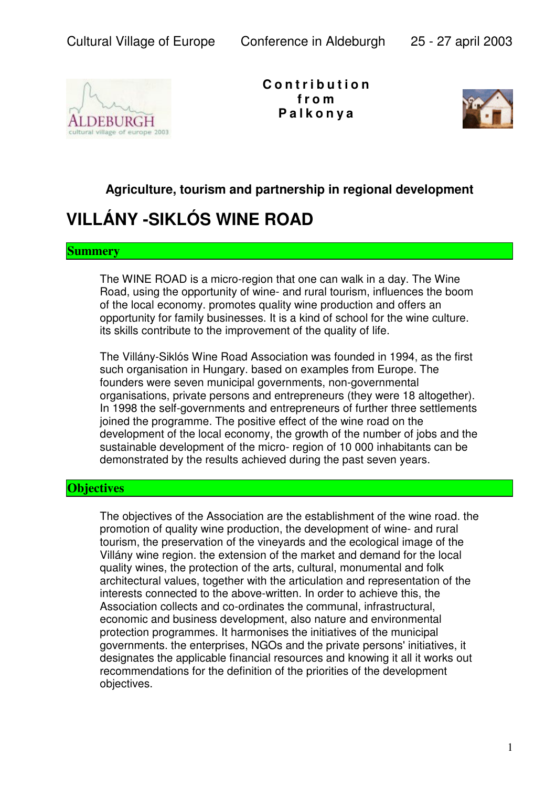

**C o n t r i b u t i o n f r o m P a l k o n y a**



## **Agriculture, tourism and partnership in regional development**

# **VILLÁNY -SIKLÓS WINE ROAD**

#### **Summery**

The WINE ROAD is a micro-region that one can walk in a day. The Wine Road, using the opportunity of wine- and rural tourism, influences the boom of the local economy. promotes quality wine production and offers an opportunity for family businesses. It is a kind of school for the wine culture. its skills contribute to the improvement of the quality of life.

The Villány-Siklós Wine Road Association was founded in 1994, as the first such organisation in Hungary. based on examples from Europe. The founders were seven municipal governments, non-governmental organisations, private persons and entrepreneurs (they were 18 altogether). In 1998 the self-governments and entrepreneurs of further three settlements joined the programme. The positive effect of the wine road on the development of the local economy, the growth of the number of jobs and the sustainable development of the micro- region of 10 000 inhabitants can be demonstrated by the results achieved during the past seven years.

### **Objectives**

The objectives of the Association are the establishment of the wine road. the promotion of quality wine production, the development of wine- and rural tourism, the preservation of the vineyards and the ecological image of the Villány wine region. the extension of the market and demand for the local quality wines, the protection of the arts, cultural, monumental and folk architectural values, together with the articulation and representation of the interests connected to the above-written. In order to achieve this, the Association collects and co-ordinates the communal, infrastructural, economic and business development, also nature and environmental protection programmes. It harmonises the initiatives of the municipal governments. the enterprises, NGOs and the private persons' initiatives, it designates the applicable financial resources and knowing it all it works out recommendations for the definition of the priorities of the development objectives.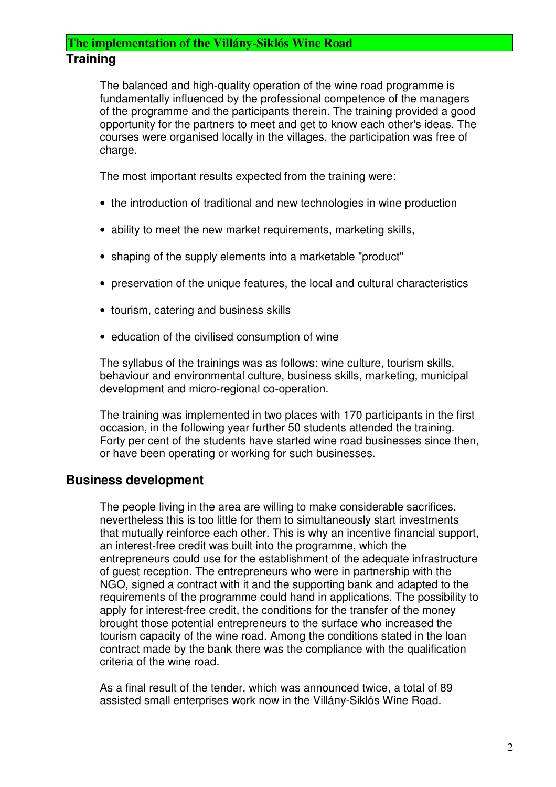### **The implementation of the Villány-Siklós Wine Road Training**

The balanced and high-quality operation of the wine road programme is fundamentally influenced by the professional competence of the managers of the programme and the participants therein. The training provided a good opportunity for the partners to meet and get to know each other's ideas. The courses were organised locally in the villages, the participation was free of charge.

The most important results expected from the training were:

- the introduction of traditional and new technologies in wine production
- ability to meet the new market requirements, marketing skills,
- shaping of the supply elements into a marketable "product"
- preservation of the unique features, the local and cultural characteristics
- tourism, catering and business skills
- education of the civilised consumption of wine

The syllabus of the trainings was as follows: wine culture, tourism skills, behaviour and environmental culture, business skills, marketing, municipal development and micro-regional co-operation.

The training was implemented in two places with 170 participants in the first occasion, in the following year further 50 students attended the training. Forty per cent of the students have started wine road businesses since then, or have been operating or working for such businesses.

### **Business development**

The people living in the area are willing to make considerable sacrifices, nevertheless this is too little for them to simultaneously start investments that mutually reinforce each other. This is why an incentive financial support, an interest-free credit was built into the programme, which the entrepreneurs could use for the establishment of the adequate infrastructure of guest reception. The entrepreneurs who were in partnership with the NGO, signed a contract with it and the supporting bank and adapted to the requirements of the programme could hand in applications. The possibility to apply for interest-free credit, the conditions for the transfer of the money brought those potential entrepreneurs to the surface who increased the tourism capacity of the wine road. Among the conditions stated in the loan contract made by the bank there was the compliance with the qualification criteria of the wine road.

As a final result of the tender, which was announced twice, a total of 89 assisted small enterprises work now in the Villány-Siklós Wine Road.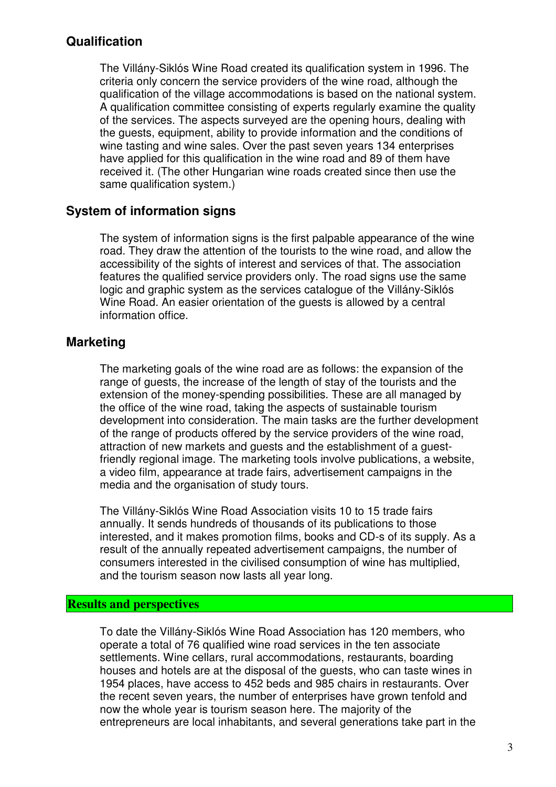#### **Qualification**

The Villány-Siklós Wine Road created its qualification system in 1996. The criteria only concern the service providers of the wine road, although the qualification of the village accommodations is based on the national system. A qualification committee consisting of experts regularly examine the quality of the services. The aspects surveyed are the opening hours, dealing with the guests, equipment, ability to provide information and the conditions of wine tasting and wine sales. Over the past seven years 134 enterprises have applied for this qualification in the wine road and 89 of them have received it. (The other Hungarian wine roads created since then use the same qualification system.)

### **System of information signs**

The system of information signs is the first palpable appearance of the wine road. They draw the attention of the tourists to the wine road, and allow the accessibility of the sights of interest and services of that. The association features the qualified service providers only. The road signs use the same logic and graphic system as the services catalogue of the Villány-Siklós Wine Road. An easier orientation of the guests is allowed by a central information office.

#### **Marketing**

The marketing goals of the wine road are as follows: the expansion of the range of guests, the increase of the length of stay of the tourists and the extension of the money-spending possibilities. These are all managed by the office of the wine road, taking the aspects of sustainable tourism development into consideration. The main tasks are the further development of the range of products offered by the service providers of the wine road, attraction of new markets and guests and the establishment of a guestfriendly regional image. The marketing tools involve publications, a website, a video film, appearance at trade fairs, advertisement campaigns in the media and the organisation of study tours.

The Villány-Siklós Wine Road Association visits 10 to 15 trade fairs annually. It sends hundreds of thousands of its publications to those interested, and it makes promotion films, books and CD-s of its supply. As a result of the annually repeated advertisement campaigns, the number of consumers interested in the civilised consumption of wine has multiplied, and the tourism season now lasts all year long.

#### **Results and perspectives**

To date the Villány-Siklós Wine Road Association has 120 members, who operate a total of 76 qualified wine road services in the ten associate settlements. Wine cellars, rural accommodations, restaurants, boarding houses and hotels are at the disposal of the guests, who can taste wines in 1954 places, have access to 452 beds and 985 chairs in restaurants. Over the recent seven years, the number of enterprises have grown tenfold and now the whole year is tourism season here. The majority of the entrepreneurs are local inhabitants, and several generations take part in the